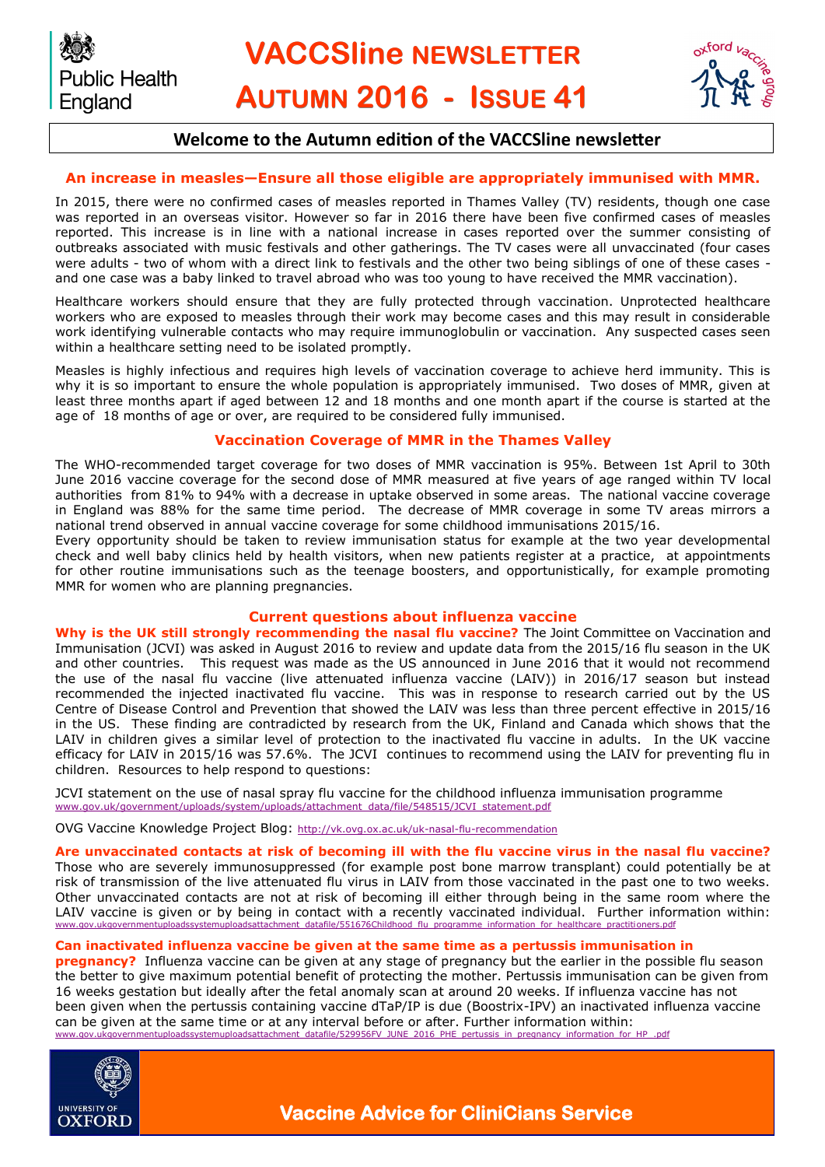**VACCSline NEWSLETTER AUTUMN 2016 - ISSUE 41**



# **Welcome to the Autumn edition of the VACCSline newsletter**

## **An increase in measles—Ensure all those eligible are appropriately immunised with MMR.**

In 2015, there were no confirmed cases of measles reported in Thames Valley (TV) residents, though one case was reported in an overseas visitor. However so far in 2016 there have been five confirmed cases of measles reported. This increase is in line with a national increase in cases reported over the summer consisting of outbreaks associated with music festivals and other gatherings. The TV cases were all unvaccinated (four cases were adults - two of whom with a direct link to festivals and the other two being siblings of one of these cases and one case was a baby linked to travel abroad who was too young to have received the MMR vaccination).

Healthcare workers should ensure that they are fully protected through vaccination. Unprotected healthcare workers who are exposed to measles through their work may become cases and this may result in considerable work identifying vulnerable contacts who may require immunoglobulin or vaccination. Any suspected cases seen within a healthcare setting need to be isolated promptly.

Measles is highly infectious and requires high levels of vaccination coverage to achieve herd immunity. This is why it is so important to ensure the whole population is appropriately immunised. Two doses of MMR, given at least three months apart if aged between 12 and 18 months and one month apart if the course is started at the age of 18 months of age or over, are required to be considered fully immunised.

## **Vaccination Coverage of MMR in the Thames Valley**

The WHO-recommended target coverage for two doses of MMR vaccination is 95%. Between 1st April to 30th June 2016 vaccine coverage for the second dose of MMR measured at five years of age ranged within TV local authorities from 81% to 94% with a decrease in uptake observed in some areas. The national vaccine coverage in England was 88% for the same time period. The decrease of MMR coverage in some TV areas mirrors a national trend observed in annual vaccine coverage for some childhood immunisations 2015/16.

Every opportunity should be taken to review immunisation status for example at the two year developmental check and well baby clinics held by health visitors, when new patients register at a practice, at appointments for other routine immunisations such as the teenage boosters, and opportunistically, for example promoting MMR for women who are planning pregnancies.

#### **Current questions about influenza vaccine**

**Why is the UK still strongly recommending the nasal flu vaccine?** The Joint Committee on Vaccination and Immunisation (JCVI) was asked in August 2016 to review and update data from the 2015/16 flu season in the UK and other countries. This request was made as the US announced in June 2016 that it would not recommend the use of the nasal flu vaccine (live attenuated influenza vaccine (LAIV)) in 2016/17 season but instead recommended the injected inactivated flu vaccine. This was in response to research carried out by the US Centre of Disease Control and Prevention that showed the LAIV was less than three percent effective in 2015/16 in the US. These finding are contradicted by research from the UK, Finland and Canada which shows that the LAIV in children gives a similar level of protection to the inactivated flu vaccine in adults. In the UK vaccine efficacy for LAIV in 2015/16 was 57.6%. The JCVI continues to recommend using the LAIV for preventing flu in children. Resources to help respond to questions:

JCVI statement on the use of nasal spray flu vaccine for the childhood influenza immunisation programme [www.gov.uk/government/uploads/system/uploads/attachment\\_data/file/548515/JCVI\\_statement.pdf](https://www.gov.uk/government/uploads/system/uploads/attachment_data/file/548515/JCVI_statement.pdf) 

OVG Vaccine Knowledge Project Blog: <http://vk.ovg.ox.ac.uk/uk-nasal-flu-recommendation>

#### **Are unvaccinated contacts at risk of becoming ill with the flu vaccine virus in the nasal flu vaccine?**

Those who are severely immunosuppressed (for example post bone marrow transplant) could potentially be at risk of transmission of the live attenuated flu virus in LAIV from those vaccinated in the past one to two weeks. Other unvaccinated contacts are not at risk of becoming ill either through being in the same room where the LAIV vaccine is given or by being in contact with a recently vaccinated individual. Further information within: [www.gov.ukgovernmentuploadssystemuploadsattachment\\_datafile/551676Childhood\\_flu\\_programme\\_information\\_for\\_healthcare\\_practitioners.pdf](https://www.gov.uk/government/uploads/system/uploads/attachment_data/file/551676/Childhood_flu_programme_information_for_healthcare_practitioners.pdf)

#### **Can inactivated influenza vaccine be given at the same time as a pertussis immunisation in**

**pregnancy?** Influenza vaccine can be given at any stage of pregnancy but the earlier in the possible flu season the better to give maximum potential benefit of protecting the mother. Pertussis immunisation can be given from 16 weeks gestation but ideally after the fetal anomaly scan at around 20 weeks. If influenza vaccine has not been given when the pertussis containing vaccine dTaP/IP is due (Boostrix-IPV) an inactivated influenza vaccine can be given at the same time or at any interval before or after. Further information within: [www.gov.ukgovernmentuploadssystemuploadsattachment\\_datafile/529956FV\\_JUNE\\_2016\\_PHE\\_pertussis\\_in\\_pregnancy\\_information\\_for\\_HP\\_.pdf](https://www.gov.uk/government/uploads/system/uploads/attachment_data/file/529956/FV_JUNE_2016_PHE_pertussis_in_pregnancy_information_for_HP_.pdf)



**Public Health** 

England